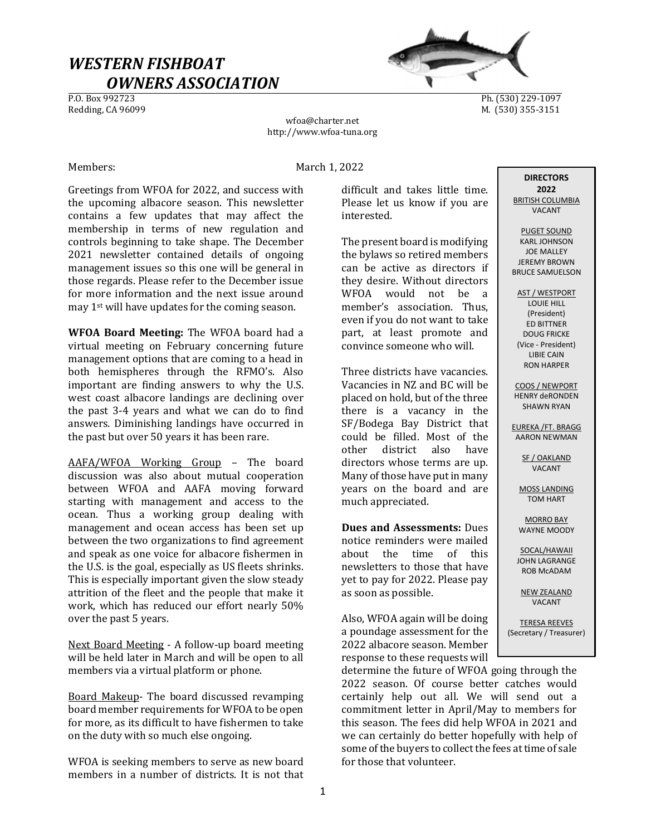# WESTERN FISHBOAT  $OWNERS ASSOCIATION$ </u>



Ph. (530) 229-1097 Redding, CA 96099 M. (530) 355-3151

wfoa@charter.net http://www.wfoa-tuna.org

Members: March 1, 2022

Greetings from WFOA for 2022, and success with the upcoming albacore season. This newsletter contains a few updates that may affect the membership in terms of new regulation and controls beginning to take shape. The December 2021 newsletter contained details of ongoing management issues so this one will be general in those regards. Please refer to the December issue for more information and the next issue around may 1st will have updates for the coming season.

WFOA Board Meeting: The WFOA board had a virtual meeting on February concerning future management options that are coming to a head in both hemispheres through the RFMO's. Also important are finding answers to why the U.S. west coast albacore landings are declining over the past 3-4 years and what we can do to find answers. Diminishing landings have occurred in the past but over 50 years it has been rare.

AAFA/WFOA Working Group – The board discussion was also about mutual cooperation between WFOA and AAFA moving forward starting with management and access to the ocean. Thus a working group dealing with management and ocean access has been set up between the two organizations to find agreement and speak as one voice for albacore fishermen in the U.S. is the goal, especially as US fleets shrinks. This is especially important given the slow steady attrition of the fleet and the people that make it work, which has reduced our effort nearly 50% over the past 5 years.

Next Board Meeting - A follow-up board meeting will be held later in March and will be open to all members via a virtual platform or phone.

Board Makeup- The board discussed revamping board member requirements for WFOA to be open for more, as its difficult to have fishermen to take on the duty with so much else ongoing.

WFOA is seeking members to serve as new board members in a number of districts. It is not that difficult and takes little time. Please let us know if you are interested.

The present board is modifying the bylaws so retired members can be active as directors if they desire. Without directors WFOA would not be a member's association. Thus, even if you do not want to take part, at least promote and convince someone who will.

Three districts have vacancies. Vacancies in NZ and BC will be placed on hold, but of the three there is a vacancy in the SF/Bodega Bay District that could be filled. Most of the other district also have directors whose terms are up. Many of those have put in many years on the board and are much appreciated.

Dues and Assessments: Dues notice reminders were mailed about the time of this newsletters to those that have yet to pay for 2022. Please pay as soon as possible.

Also, WFOA again will be doing a poundage assessment for the 2022 albacore season. Member response to these requests will

determine the future of WFOA going through the 2022 season. Of course better catches would certainly help out all. We will send out a commitment letter in April/May to members for this season. The fees did help WFOA in 2021 and we can certainly do better hopefully with help of some of the buyers to collect the fees at time of sale for those that volunteer.

**DIRECTORS** 2022 BRITISH COLUMBIA VACANT

PUGET SOUND KARL JOHNSON JOE MALLEY JEREMY BROWN BRUCE SAMUELSON

AST / WESTPORT LOUIE HILL (President) ED BITTNER DOUG FRICKE (Vice - President) LIBIE CAIN RON HARPER

COOS / NEWPORT HENRY deRONDEN SHAWN RYAN

EUREKA /FT. BRAGG AARON NEWMAN

> SF / OAKLAND VACANT

MOSS LANDING TOM HART

MORRO BAY WAYNE MOODY

SOCAL/HAWAII JOHN LAGRANGE ROB McADAM

NEW ZEALAND VACANT

TERESA REEVES (Secretary / Treasurer)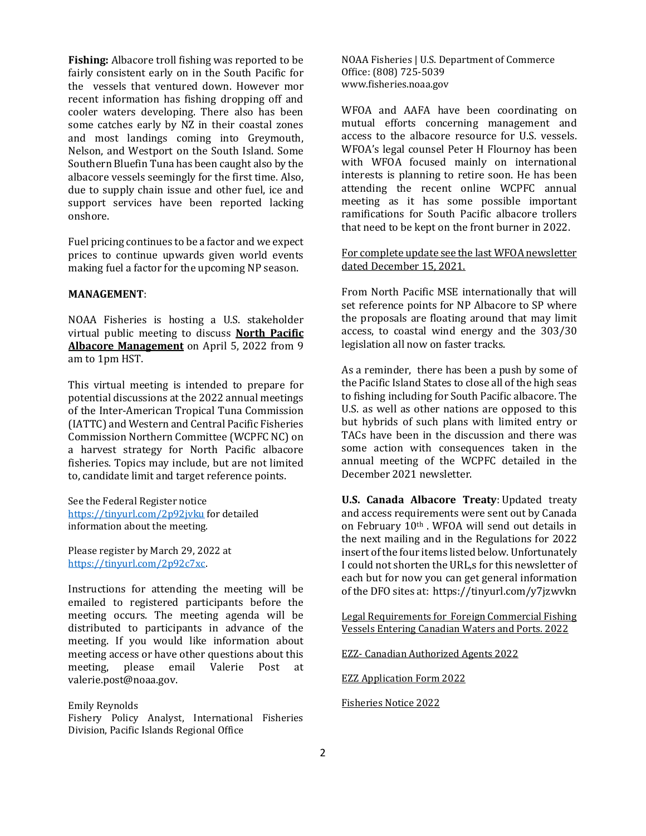Fishing: Albacore troll fishing was reported to be fairly consistent early on in the South Pacific for the vessels that ventured down. However mor recent information has fishing dropping off and cooler waters developing. There also has been some catches early by NZ in their coastal zones and most landings coming into Greymouth, Nelson, and Westport on the South Island. Some Southern Bluefin Tuna has been caught also by the albacore vessels seemingly for the first time. Also, due to supply chain issue and other fuel, ice and support services have been reported lacking onshore.

Fuel pricing continues to be a factor and we expect prices to continue upwards given world events making fuel a factor for the upcoming NP season.

### MANAGEMENT:

NOAA Fisheries is hosting a U.S. stakeholder virtual public meeting to discuss North Pacific Albacore Management on April 5, 2022 from 9 am to 1pm HST.

This virtual meeting is intended to prepare for potential discussions at the 2022 annual meetings of the Inter-American Tropical Tuna Commission (IATTC) and Western and Central Pacific Fisheries Commission Northern Committee (WCPFC NC) on a harvest strategy for North Pacific albacore fisheries. Topics may include, but are not limited to, candidate limit and target reference points.

See the Federal Register notice https://tinyurl.com/2p92jvku for detailed information about the meeting.

Please register by March 29, 2022 at https://tinyurl.com/2p92c7xc.

Instructions for attending the meeting will be emailed to registered participants before the meeting occurs. The meeting agenda will be distributed to participants in advance of the meeting. If you would like information about meeting access or have other questions about this meeting, please email Valerie Post at valerie.post@noaa.gov.

#### Emily Reynolds

Fishery Policy Analyst, International Fisheries Division, Pacific Islands Regional Office

NOAA Fisheries | U.S. Department of Commerce Office: (808) 725-5039 www.fisheries.noaa.gov

WFOA and AAFA have been coordinating on mutual efforts concerning management and access to the albacore resource for U.S. vessels. WFOA's legal counsel Peter H Flournoy has been with WFOA focused mainly on international interests is planning to retire soon. He has been attending the recent online WCPFC annual meeting as it has some possible important ramifications for South Pacific albacore trollers that need to be kept on the front burner in 2022.

For complete update see the last WFOA newsletter dated December 15, 2021.

From North Pacific MSE internationally that will set reference points for NP Albacore to SP where the proposals are floating around that may limit access, to coastal wind energy and the 303/30 legislation all now on faster tracks.

As a reminder, there has been a push by some of the Pacific Island States to close all of the high seas to fishing including for South Pacific albacore. The U.S. as well as other nations are opposed to this but hybrids of such plans with limited entry or TACs have been in the discussion and there was some action with consequences taken in the annual meeting of the WCPFC detailed in the December 2021 newsletter.

U.S. Canada Albacore Treaty: Updated treaty and access requirements were sent out by Canada on February 10th . WFOA will send out details in the next mailing and in the Regulations for 2022 insert of the four items listed below. Unfortunately I could not shorten the URL,s for this newsletter of each but for now you can get general information of the DFO sites at: https://tinyurl.com/y7jzwvkn

Legal Requirements for Foreign Commercial Fishing Vessels Entering Canadian Waters and Ports. 2022

EZZ- Canadian Authorized Agents 2022

EZZ Application Form 2022

Fisheries Notice 2022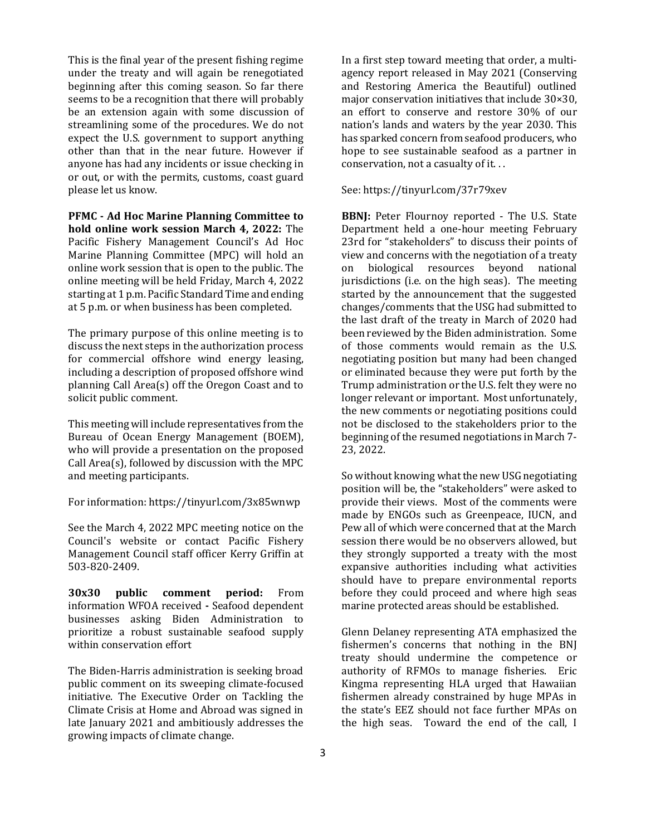This is the final year of the present fishing regime under the treaty and will again be renegotiated beginning after this coming season. So far there seems to be a recognition that there will probably be an extension again with some discussion of streamlining some of the procedures. We do not expect the U.S. government to support anything other than that in the near future. However if anyone has had any incidents or issue checking in or out, or with the permits, customs, coast guard please let us know.

PFMC - Ad Hoc Marine Planning Committee to hold online work session March 4, 2022: The Pacific Fishery Management Council's Ad Hoc Marine Planning Committee (MPC) will hold an online work session that is open to the public. The online meeting will be held Friday, March 4, 2022 starting at 1 p.m. Pacific Standard Time and ending at 5 p.m. or when business has been completed.

The primary purpose of this online meeting is to discuss the next steps in the authorization process for commercial offshore wind energy leasing, including a description of proposed offshore wind planning Call Area(s) off the Oregon Coast and to solicit public comment.

This meeting will include representatives from the Bureau of Ocean Energy Management (BOEM), who will provide a presentation on the proposed Call Area(s), followed by discussion with the MPC and meeting participants.

For information: https://tinyurl.com/3x85wnwp

See the March 4, 2022 MPC meeting notice on the Council's website or contact Pacific Fishery Management Council staff officer Kerry Griffin at 503-820-2409.

30x30 public comment period: From information WFOA received - Seafood dependent businesses asking Biden Administration to prioritize a robust sustainable seafood supply within conservation effort

The Biden-Harris administration is seeking broad public comment on its sweeping climate-focused initiative. The Executive Order on Tackling the Climate Crisis at Home and Abroad was signed in late January 2021 and ambitiously addresses the growing impacts of climate change.

In a first step toward meeting that order, a multiagency report released in May 2021 (Conserving and Restoring America the Beautiful) outlined major conservation initiatives that include 30×30, an effort to conserve and restore 30% of our nation's lands and waters by the year 2030. This has sparked concern from seafood producers, who hope to see sustainable seafood as a partner in conservation, not a casualty of it. . .

#### See: https://tinyurl.com/37r79xev

BBNJ: Peter Flournoy reported - The U.S. State Department held a one-hour meeting February 23rd for "stakeholders" to discuss their points of view and concerns with the negotiation of a treaty on biological resources beyond national jurisdictions (i.e. on the high seas). The meeting started by the announcement that the suggested changes/comments that the USG had submitted to the last draft of the treaty in March of 2020 had been reviewed by the Biden administration. Some of those comments would remain as the U.S. negotiating position but many had been changed or eliminated because they were put forth by the Trump administration or the U.S. felt they were no longer relevant or important. Most unfortunately, the new comments or negotiating positions could not be disclosed to the stakeholders prior to the beginning of the resumed negotiations in March 7- 23, 2022.

So without knowing what the new USG negotiating position will be, the "stakeholders" were asked to provide their views. Most of the comments were made by ENGOs such as Greenpeace, IUCN, and Pew all of which were concerned that at the March session there would be no observers allowed, but they strongly supported a treaty with the most expansive authorities including what activities should have to prepare environmental reports before they could proceed and where high seas marine protected areas should be established.

Glenn Delaney representing ATA emphasized the fishermen's concerns that nothing in the BNJ treaty should undermine the competence or authority of RFMOs to manage fisheries. Eric Kingma representing HLA urged that Hawaiian fishermen already constrained by huge MPAs in the state's EEZ should not face further MPAs on the high seas. Toward the end of the call, I